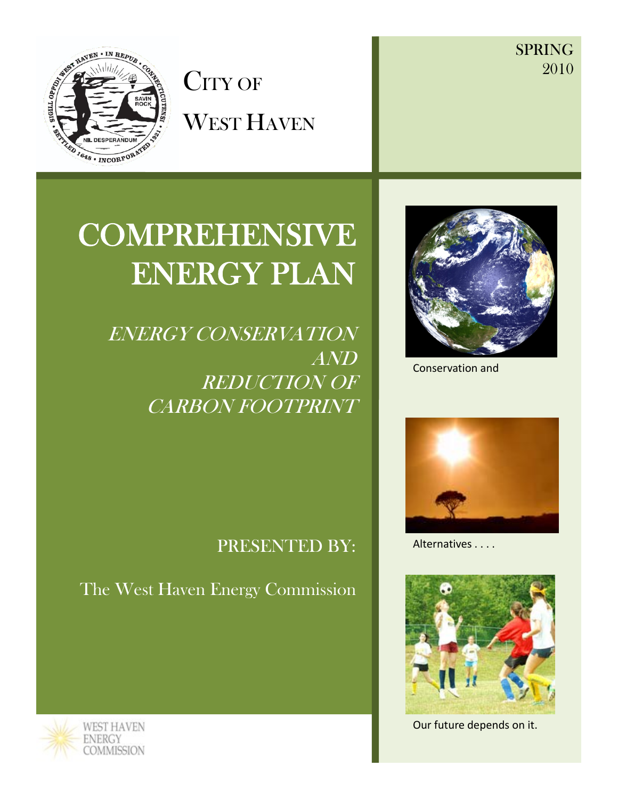SPRING 2010



CITY OF WEST HAVEN



ENERGY CONSERVATION AND REDUCTION OF CARBON FOOTPRINT



Conservation and



Alternatives . . . .



Our future depends on it.

# PRESENTED BY:

The West Haven Energy Commission

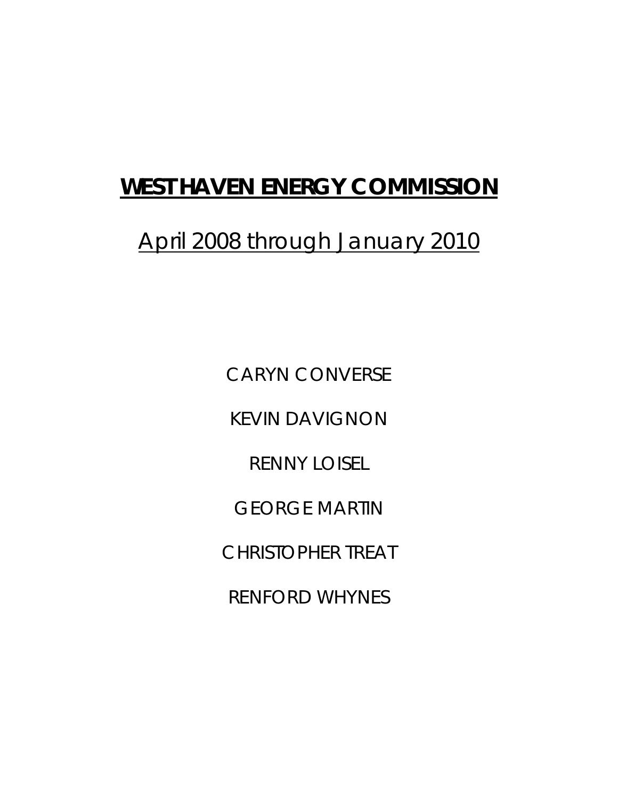# **WEST HAVEN ENERGY COMMISSION**

# April 2008 through January 2010

CARYN CONVERSE KEVIN DAVIGNON RENNY LOISEL GEORGE MARTIN CHRISTOPHER TREAT RENFORD WHYNES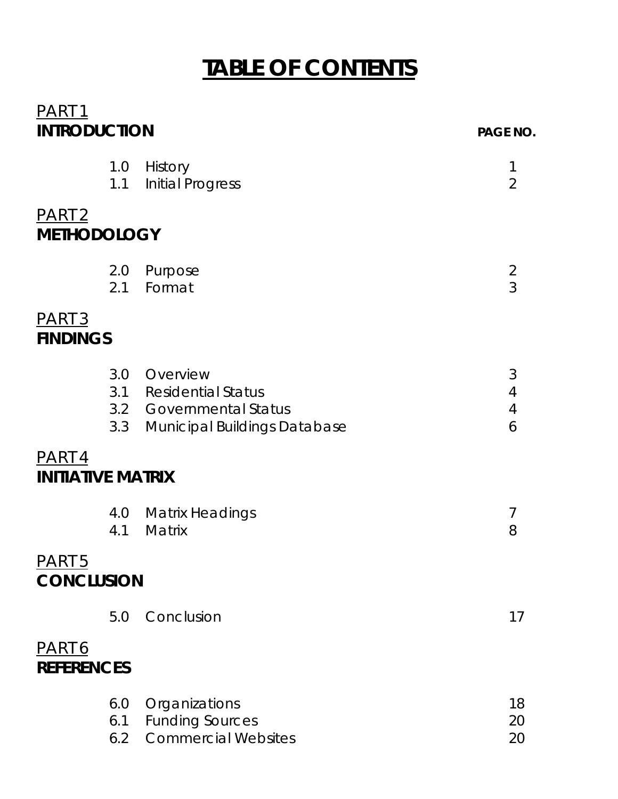# **TABLE OF CONTENTS**

| <u>PART 1</u>                             |                   |                                                                                                          |                                  |
|-------------------------------------------|-------------------|----------------------------------------------------------------------------------------------------------|----------------------------------|
| <b>INTRODUCTION</b>                       |                   |                                                                                                          | <b>PAGE NO.</b>                  |
|                                           | 1.0<br>1.1        | History<br><b>Initial Progress</b>                                                                       | 1<br>$\overline{2}$              |
| PART <sub>2</sub><br><b>METHODOLOGY</b>   |                   |                                                                                                          |                                  |
|                                           | 2.0<br>2.1        | Purpose<br>Format                                                                                        | $\overline{2}$<br>$\overline{3}$ |
| PART <sub>3</sub><br><b>FINDINGS</b>      |                   |                                                                                                          |                                  |
|                                           | 3.3               | 3.0 Overview<br>3.1 Residential Status<br>3.2 Governmental Status<br><b>Municipal Buildings Database</b> | 3<br>4<br>$\overline{4}$<br>6    |
| <u>PART 4</u><br><b>INITIATIVE MATRIX</b> |                   |                                                                                                          |                                  |
|                                           | 4.0<br>4.1        | <b>Matrix Headings</b><br>Matrix                                                                         | 7<br>8                           |
| PART <sub>5</sub><br><b>CONCLUSION</b>    |                   |                                                                                                          |                                  |
|                                           | 5.0               | Conclusion                                                                                               | 17                               |
| <u>PART 6</u><br><b>REFERENCES</b>        |                   |                                                                                                          |                                  |
|                                           | 6.0<br>6.1<br>6.2 | Organizations<br><b>Funding Sources</b><br><b>Commercial Websites</b>                                    | 18<br>20<br>20                   |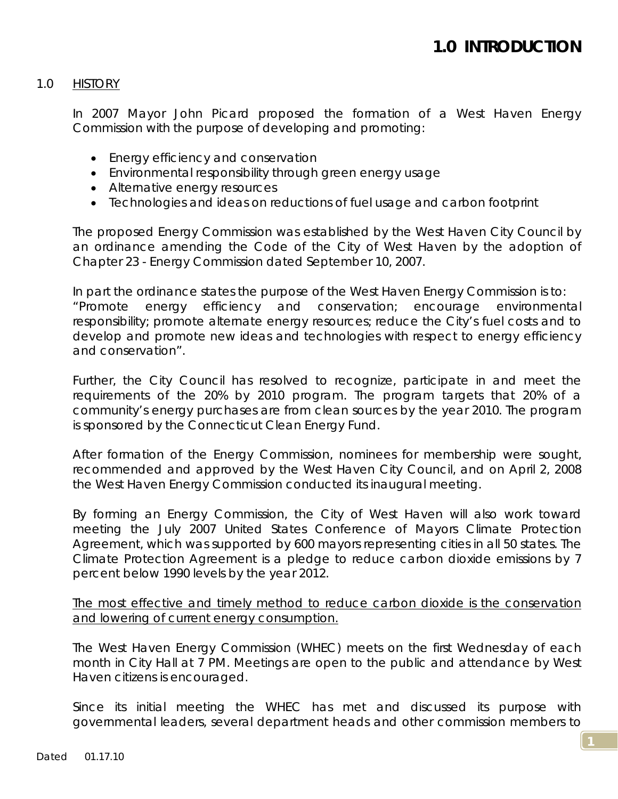### 1.0 HISTORY

In 2007 Mayor John Picard proposed the formation of a West Haven Energy Commission with the purpose of developing and promoting:

- Energy efficiency and conservation
- Environmental responsibility through green energy usage
- Alternative energy resources
- Technologies and ideas on reductions of fuel usage and carbon footprint

The proposed Energy Commission was established by the West Haven City Council by an ordinance amending the Code of the City of West Haven by the adoption of Chapter 23 - Energy Commission dated September 10, 2007.

In part the ordinance states the purpose of the West Haven Energy Commission is to: *"Promote energy efficiency and conservation; encourage environmental responsibility; promote alternate energy resources; reduce the City's fuel costs and to develop and promote new ideas and technologies with respect to energy efficiency and conservation".* 

Further, the City Council has resolved to recognize, participate in and meet the requirements of the 20% by 2010 program. The program targets that 20% of a community's energy purchases are from clean sources by the year 2010. The program is sponsored by the Connecticut Clean Energy Fund.

After formation of the Energy Commission, nominees for membership were sought, recommended and approved by the West Haven City Council, and on April 2, 2008 the West Haven Energy Commission conducted its inaugural meeting.

By forming an Energy Commission, the City of West Haven will also work toward meeting the July 2007 United States Conference of Mayors *Climate Protection Agreement*, which was supported by 600 mayors representing cities in all 50 states. The *Climate Protection Agreement* is a pledge to reduce carbon dioxide emissions by 7 percent below 1990 levels by the year 2012.

The most effective and timely method to reduce carbon dioxide is the conservation and lowering of current energy consumption.

The West Haven Energy Commission (WHEC) meets on the first Wednesday of each month in City Hall at 7 PM. Meetings are open to the public and attendance by West Haven citizens is encouraged.

Since its initial meeting the WHEC has met and discussed its purpose with governmental leaders, several department heads and other commission members to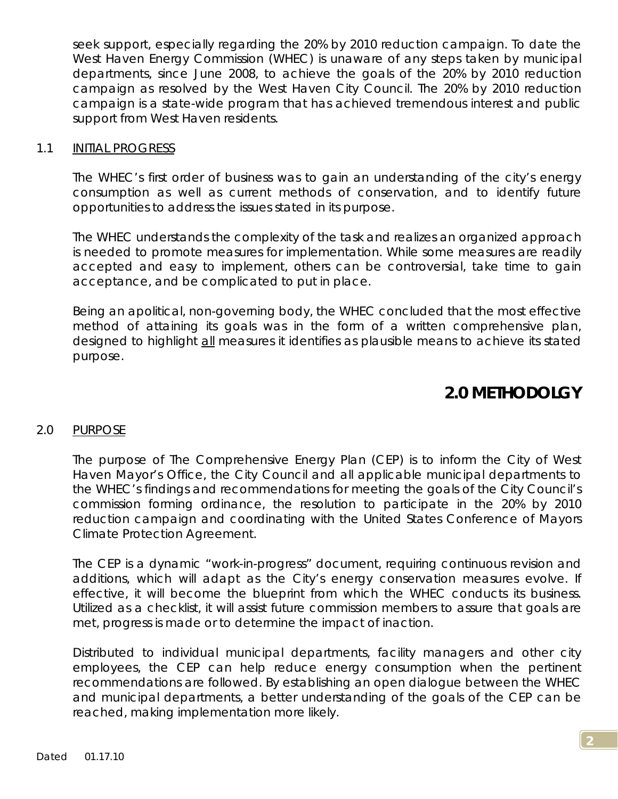seek support, especially regarding the 20% by 2010 reduction campaign. To date the West Haven Energy Commission (WHEC) is unaware of any steps taken by municipal departments, since June 2008, to achieve the goals of the 20% by 2010 reduction campaign as resolved by the West Haven City Council. The 20% by 2010 reduction campaign is a state-wide program that has achieved tremendous interest and public support from West Haven residents.

### 1.1 INITIAL PROGRESS

The WHEC's first order of business was to gain an understanding of the city's energy consumption as well as current methods of conservation, and to identify future opportunities to address the issues stated in its purpose.

The WHEC understands the complexity of the task and realizes an organized approach is needed to promote measures for implementation. While some measures are readily accepted and easy to implement, others can be controversial, take time to gain acceptance, and be complicated to put in place.

Being an apolitical, non-governing body, the WHEC concluded that the most effective method of attaining its goals was in the form of a written comprehensive plan, designed to highlight *all* measures it identifies as plausible means to achieve its stated purpose.

# **2.0 METHODOLGY**

### 2.0 PURPOSE

The purpose of The Comprehensive Energy Plan (CEP) is to inform the City of West Haven Mayor's Office, the City Council and all applicable municipal departments to the WHEC's findings and recommendations for meeting the goals of the City Council's commission forming ordinance, the resolution to participate in the 20% by 2010 reduction campaign and coordinating with the United States Conference of Mayors *Climate Protection Agreement*.

The CEP is a dynamic "work-in-progress" document, requiring continuous revision and additions, which will adapt as the City's energy conservation measures evolve. If effective, it will become the blueprint from which the WHEC conducts its business. Utilized as a checklist, it will assist future commission members to assure that goals are met, progress is made or to determine the impact of inaction.

Distributed to individual municipal departments, facility managers and other city employees, the CEP can help reduce energy consumption when the pertinent recommendations are followed. By establishing an open dialogue between the WHEC and municipal departments, a better understanding of the goals of the CEP can be reached, making implementation more likely.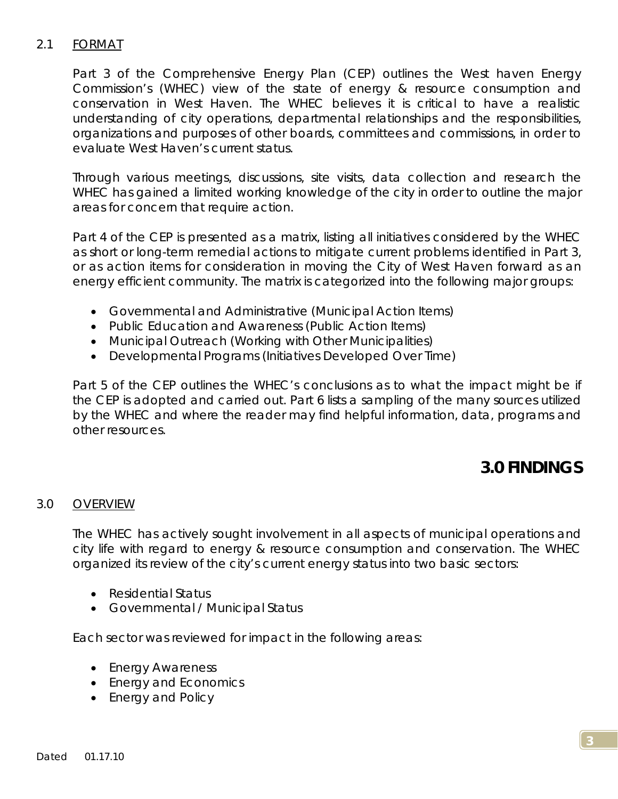## 2.1 FORMAT

Part 3 of the Comprehensive Energy Plan (CEP) outlines the West haven Energy Commission's (WHEC) view of the state of energy & resource consumption and conservation in West Haven. The WHEC believes it is critical to have a realistic understanding of city operations, departmental relationships and the responsibilities, organizations and purposes of other boards, committees and commissions, in order to evaluate West Haven's current status.

Through various meetings, discussions, site visits, data collection and research the WHEC has gained a limited working knowledge of the city in order to outline the major areas for concern that require action.

Part 4 of the CEP is presented as a matrix, listing all initiatives considered by the WHEC as short or long-term remedial actions to mitigate current problems identified in Part 3, or as action items for consideration in moving the City of West Haven forward as an energy efficient community. The matrix is categorized into the following major groups:

- *Governmental and Administrative (Municipal Action Items)*
- *Public Education and Awareness (Public Action Items)*
- *Municipal Outreach (Working with Other Municipalities)*
- *Developmental Programs (Initiatives Developed Over Time)*

Part 5 of the CEP outlines the WHEC's conclusions as to what the impact might be if the CEP is adopted and carried out. Part 6 lists a sampling of the many sources utilized by the WHEC and where the reader may find helpful information, data, programs and other resources.

# **3.0 FINDINGS**

### 3.0 OVERVIEW

The WHEC has actively sought involvement in all aspects of municipal operations and city life with regard to energy & resource consumption and conservation. The WHEC organized its review of the city's current energy status into two basic sectors:

- *Residential Status*
- *Governmental / Municipal Status*

Each sector was reviewed for impact in the following areas:

- *Energy Awareness*
- *Energy and Economics*
- *Energy and Policy*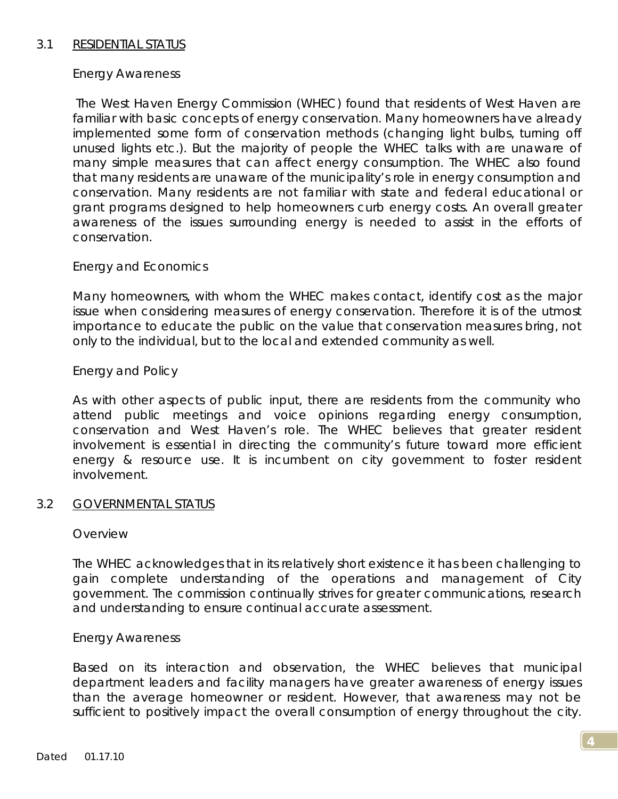### 3.1 RESIDENTIAL STATUS

### *Energy Awareness*

 The West Haven Energy Commission (WHEC) found that residents of West Haven are familiar with basic concepts of energy conservation. Many homeowners have already implemented some form of conservation methods (changing light bulbs, turning off unused lights etc.). But the majority of people the WHEC talks with are unaware of many simple measures that can affect energy consumption. The WHEC also found that many residents are unaware of the municipality's role in energy consumption and conservation. Many residents are not familiar with state and federal educational or grant programs designed to help homeowners curb energy costs. An overall greater awareness of the issues surrounding energy is needed to assist in the efforts of conservation.

### *Energy and Economics*

Many homeowners, with whom the WHEC makes contact, identify cost as the major issue when considering measures of energy conservation. Therefore it is of the utmost importance to educate the public on the value that conservation measures bring, not only to the individual, but to the local and extended community as well.

### *Energy and Policy*

As with other aspects of public input, there are residents from the community who attend public meetings and voice opinions regarding energy consumption, conservation and West Haven's role. The WHEC believes that greater resident involvement is essential in directing the community's future toward more efficient energy & resource use. It is incumbent on city government to foster resident involvement.

#### 3.2 GOVERNMENTAL STATUS

#### *Overview*

The WHEC acknowledges that in its relatively short existence it has been challenging to gain complete understanding of the operations and management of City government. The commission continually strives for greater communications, research and understanding to ensure continual accurate assessment.

#### *Energy Awareness*

Based on its interaction and observation, the WHEC believes that municipal department leaders and facility managers have greater awareness of energy issues than the average homeowner or resident. However, that awareness may not be sufficient to positively impact the overall consumption of energy throughout the city.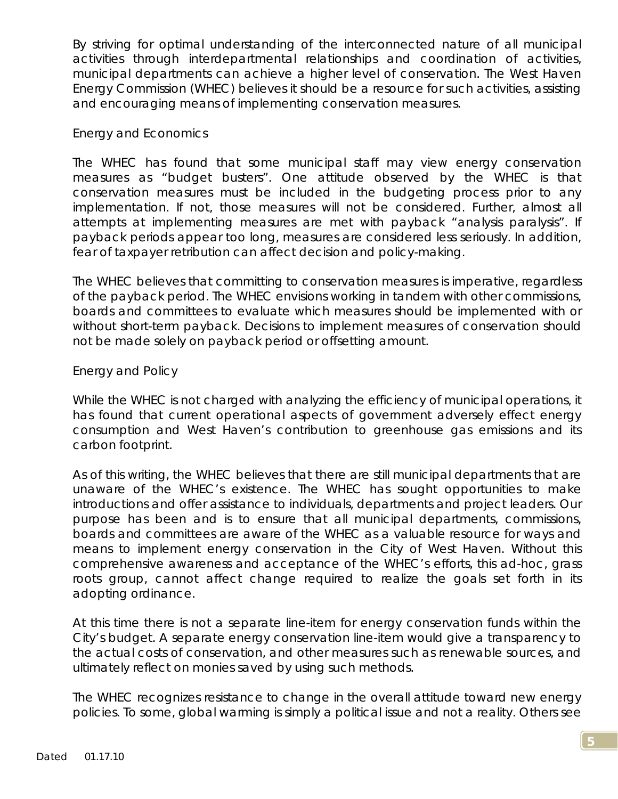By striving for optimal understanding of the interconnected nature of all municipal activities through interdepartmental relationships and coordination of activities, municipal departments can achieve a higher level of conservation. The West Haven Energy Commission (WHEC) believes it should be a resource for such activities, assisting and encouraging means of implementing conservation measures.

### *Energy and Economics*

The WHEC has found that some municipal staff may view energy conservation measures as "budget busters". One attitude observed by the WHEC is that conservation measures must be included in the budgeting process prior to any implementation. If not, those measures will not be considered. Further, almost all attempts at implementing measures are met with payback "analysis paralysis". If payback periods appear too long, measures are considered less seriously. In addition, fear of taxpayer retribution can affect decision and policy-making.

The WHEC believes that committing to conservation measures is imperative, regardless of the payback period. The WHEC envisions working in tandem with other commissions, boards and committees to evaluate which measures should be implemented with or without short-term payback. Decisions to implement measures of conservation should not be made solely on payback period or offsetting amount.

### *Energy and Policy*

While the WHEC is not charged with analyzing the efficiency of municipal operations, it has found that current operational aspects of government adversely effect energy consumption and West Haven's contribution to greenhouse gas emissions and its carbon footprint.

As of this writing, the WHEC believes that there are still municipal departments that are unaware of the WHEC's existence. The WHEC has sought opportunities to make introductions and offer assistance to individuals, departments and project leaders. Our purpose has been and is to ensure that all municipal departments, commissions, boards and committees are aware of the WHEC as a valuable resource for ways and means to implement energy conservation in the City of West Haven. Without this comprehensive awareness and acceptance of the WHEC's efforts, this ad-hoc, grass roots group, cannot affect change required to realize the goals set forth in its adopting ordinance.

At this time there is not a separate line-item for energy conservation funds within the City's budget. A separate energy conservation line-item would give a transparency to the actual costs of conservation, and other measures such as renewable sources, and ultimately reflect on monies saved by using such methods.

The WHEC recognizes resistance to change in the overall attitude toward new energy policies. To some, global warming is simply a political issue and not a reality. Others see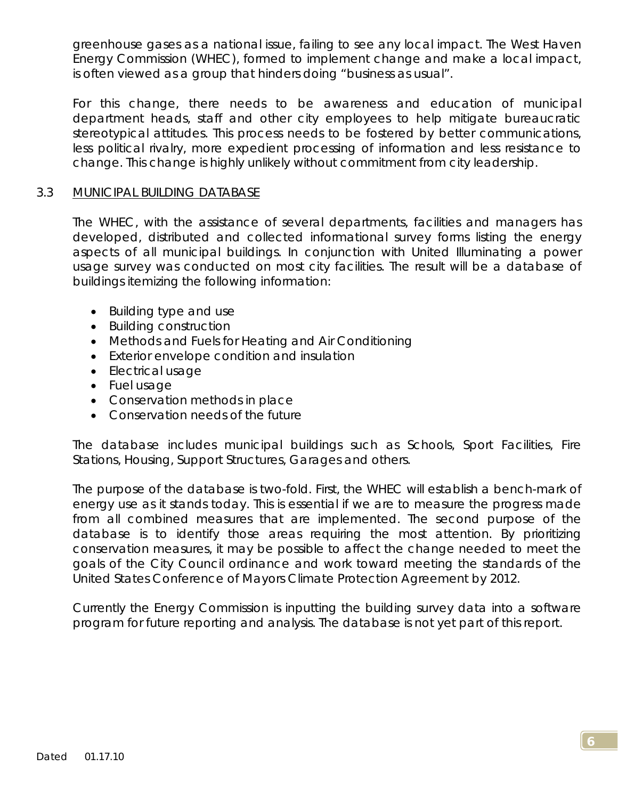greenhouse gases as a national issue, failing to see any local impact. The West Haven Energy Commission (WHEC), formed to implement change and make a local impact, is often viewed as a group that hinders doing "business as usual".

For this change, there needs to be awareness and education of municipal department heads, staff and other city employees to help mitigate bureaucratic stereotypical attitudes. This process needs to be fostered by better communications, less political rivalry, more expedient processing of information and less resistance to change. This change is highly unlikely without commitment from city leadership.

### 3.3 MUNICIPAL BUILDING DATABASE

The WHEC, with the assistance of several departments, facilities and managers has developed, distributed and collected informational survey forms listing the energy aspects of all municipal buildings. In conjunction with United Illuminating a power usage survey was conducted on most city facilities. The result will be a database of buildings itemizing the following information:

- Building type and use
- Building construction
- Methods and Fuels for Heating and Air Conditioning
- Exterior envelope condition and insulation
- Electrical usage
- Fuel usage
- Conservation methods in place
- Conservation needs of the future

The database includes municipal buildings such as Schools, Sport Facilities, Fire Stations, Housing, Support Structures, Garages and others.

The purpose of the database is two-fold. First, the WHEC will establish a bench-mark of energy use as it stands today. This is essential if we are to measure the progress made from all combined measures that are implemented. The second purpose of the database is to identify those areas requiring the most attention. By prioritizing conservation measures, it may be possible to affect the change needed to meet the goals of the City Council ordinance and work toward meeting the standards of the United States Conference of Mayors *Climate Protection Agreement* by 2012.

Currently the Energy Commission is inputting the building survey data into a software program for future reporting and analysis. The database is not yet part of this report.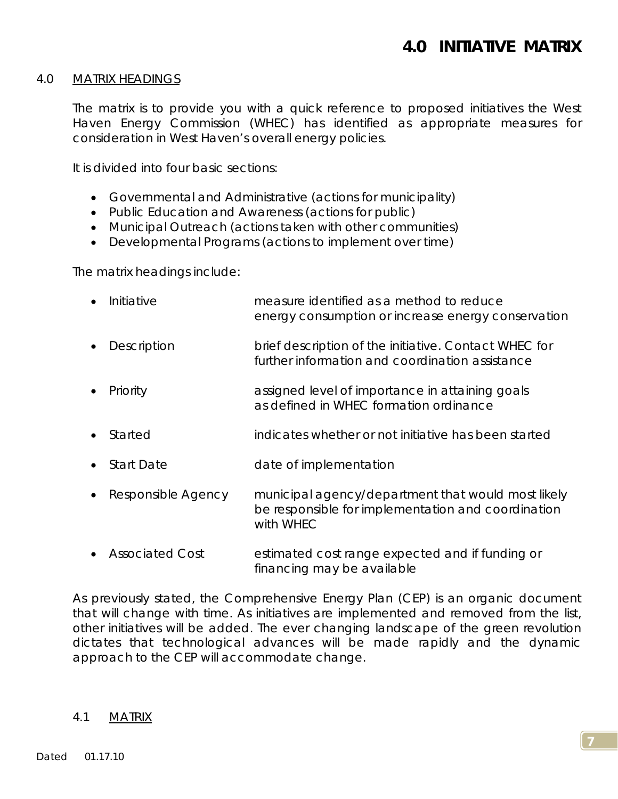#### 4.0 MATRIX HEADINGS

The matrix is to provide you with a quick reference to proposed initiatives the West Haven Energy Commission (WHEC) has identified as appropriate measures for consideration in West Haven's overall energy policies.

It is divided into four basic sections:

- *Governmental and Administrative (actions for municipality)*
- *Public Education and Awareness (actions for public)*
- *Municipal Outreach (actions taken with other communities)*
- *Developmental Programs (actions to implement over time)*

The matrix headings include:

| Initiative         | measure identified as a method to reduce<br>energy consumption or increase energy conservation                        |
|--------------------|-----------------------------------------------------------------------------------------------------------------------|
| Description        | brief description of the initiative. Contact WHEC for<br>further information and coordination assistance              |
| Priority           | assigned level of importance in attaining goals<br>as defined in WHEC formation ordinance                             |
| Started            | indicates whether or not initiative has been started                                                                  |
| <b>Start Date</b>  | date of implementation                                                                                                |
| Responsible Agency | municipal agency/department that would most likely<br>be responsible for implementation and coordination<br>with WHEC |

• Associated Cost estimated cost range expected and if funding or financing may be available

As previously stated, the Comprehensive Energy Plan (CEP) is an organic document that will change with time. As initiatives are implemented and removed from the list, other initiatives will be added. The ever changing landscape of the green revolution dictates that technological advances will be made rapidly and the dynamic approach to the CEP will accommodate change.

#### 4.1 MATRIX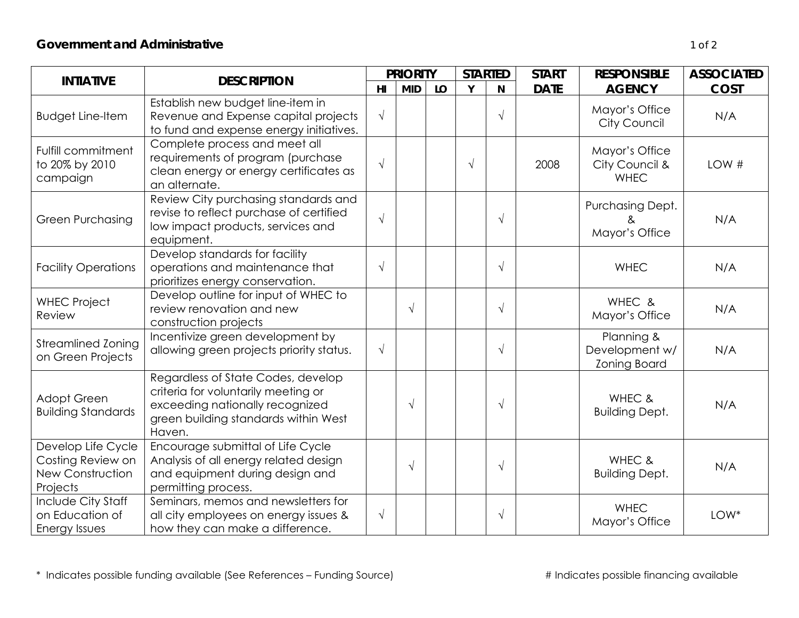| <b>INTIATIVE</b>                                                        | <b>DESCRIPTION</b>                                                                                                                                             |            | <b>PRIORITY</b> |    | <b>STARTED</b> |            | <b>START</b> | <b>RESPONSIBLE</b>                                  | <b>ASSOCIATED</b> |
|-------------------------------------------------------------------------|----------------------------------------------------------------------------------------------------------------------------------------------------------------|------------|-----------------|----|----------------|------------|--------------|-----------------------------------------------------|-------------------|
|                                                                         |                                                                                                                                                                | H1         | <b>MID</b>      | LO | Y              | N          | <b>DATE</b>  | <b>AGENCY</b>                                       | <b>COST</b>       |
| <b>Budget Line-Item</b>                                                 | Establish new budget line-item in<br>Revenue and Expense capital projects<br>to fund and expense energy initiatives.                                           | $\sqrt{ }$ |                 |    |                | $\sqrt{ }$ |              | Mayor's Office<br>City Council                      | N/A               |
| Fulfill commitment<br>to 20% by 2010<br>campaign                        | Complete process and meet all<br>requirements of program (purchase<br>clean energy or energy certificates as<br>an alternate.                                  | $\sqrt{ }$ |                 |    | $\sqrt{ }$     |            | 2008         | Mayor's Office<br>City Council &<br><b>WHEC</b>     | LOW#              |
| <b>Green Purchasing</b>                                                 | Review City purchasing standards and<br>revise to reflect purchase of certified<br>low impact products, services and<br>equipment.                             | $\sqrt{ }$ |                 |    |                | $\sqrt{ }$ |              | Purchasing Dept.<br>&<br>Mayor's Office             | N/A               |
| <b>Facility Operations</b>                                              | Develop standards for facility<br>operations and maintenance that<br>prioritizes energy conservation.                                                          | $\sqrt{ }$ |                 |    |                | $\sqrt{ }$ |              | <b>WHEC</b>                                         | N/A               |
| <b>WHEC Project</b><br>Review                                           | Develop outline for input of WHEC to<br>review renovation and new<br>construction projects                                                                     |            | $\sqrt{ }$      |    |                | $\sqrt{ }$ |              | WHEC &<br>Mayor's Office                            | N/A               |
| <b>Streamlined Zoning</b><br>on Green Projects                          | Incentivize green development by<br>allowing green projects priority status.                                                                                   | $\sqrt{ }$ |                 |    |                | $\sqrt{ }$ |              | Planning &<br>Development w/<br><b>Zoning Board</b> | N/A               |
| Adopt Green<br><b>Building Standards</b>                                | Regardless of State Codes, develop<br>criteria for voluntarily meeting or<br>exceeding nationally recognized<br>green building standards within West<br>Haven. |            | $\sqrt{ }$      |    |                | $\sqrt{ }$ |              | WHEC &<br><b>Building Dept.</b>                     | N/A               |
| Develop Life Cycle<br>Costing Review on<br>New Construction<br>Projects | Encourage submittal of Life Cycle<br>Analysis of all energy related design<br>and equipment during design and<br>permitting process.                           |            | $\sqrt{ }$      |    |                | $\sqrt{ }$ |              | WHEC &<br><b>Building Dept.</b>                     | N/A               |
| Include City Staff<br>on Education of<br>Energy Issues                  | Seminars, memos and newsletters for<br>all city employees on energy issues &<br>how they can make a difference.                                                | $\sqrt{ }$ |                 |    |                | $\sqrt{ }$ |              | <b>WHEC</b><br>Mayor's Office                       | LOW*              |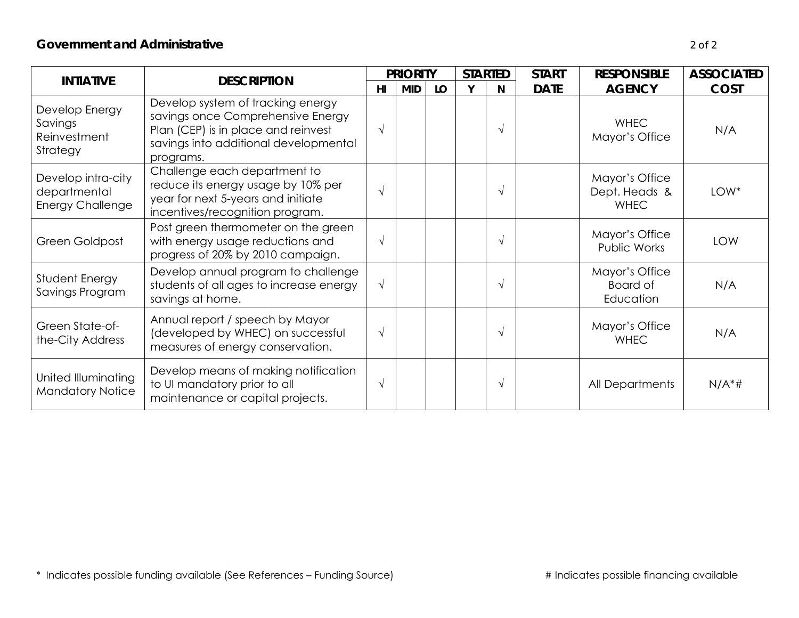| <b>INTIATIVE</b>                                              | <b>DESCRIPTION</b>                                                                                                                                                  |                | <b>PRIORITY</b> |    | <b>STARTED</b> |            | <b>START</b> | <b>RESPONSIBLE</b>                             | <b>ASSOCIATED</b> |
|---------------------------------------------------------------|---------------------------------------------------------------------------------------------------------------------------------------------------------------------|----------------|-----------------|----|----------------|------------|--------------|------------------------------------------------|-------------------|
|                                                               |                                                                                                                                                                     | H <sub>l</sub> | <b>MID</b>      | LO | Y              | N          | <b>DATE</b>  | <b>AGENCY</b>                                  | <b>COST</b>       |
| Develop Energy<br>Savings<br>Reinvestment<br>Strategy         | Develop system of tracking energy<br>savings once Comprehensive Energy<br>Plan (CEP) is in place and reinvest<br>savings into additional developmental<br>programs. | $\sqrt{ }$     |                 |    |                | $\sqrt{ }$ |              | <b>WHEC</b><br>Mayor's Office                  | N/A               |
| Develop intra-city<br>departmental<br><b>Energy Challenge</b> | Challenge each department to<br>reduce its energy usage by 10% per<br>year for next 5-years and initiate<br>incentives/recognition program.                         | $\sqrt{ }$     |                 |    |                | V          |              | Mayor's Office<br>Dept. Heads &<br><b>WHEC</b> | LOW*              |
| Green Goldpost                                                | Post green thermometer on the green<br>with energy usage reductions and<br>progress of 20% by 2010 campaign.                                                        | $\sqrt{ }$     |                 |    |                |            |              | Mayor's Office<br>Public Works                 | <b>LOW</b>        |
| Student Energy<br>Savings Program                             | Develop annual program to challenge<br>students of all ages to increase energy<br>savings at home.                                                                  | $\sqrt{ }$     |                 |    |                | $\sqrt{ }$ |              | Mayor's Office<br>Board of<br>Education        | N/A               |
| Green State-of-<br>the-City Address                           | Annual report / speech by Mayor<br>(developed by WHEC) on successful<br>measures of energy conservation.                                                            | $\sqrt{ }$     |                 |    |                | V          |              | Mayor's Office<br><b>WHEC</b>                  | N/A               |
| United Illuminating<br><b>Mandatory Notice</b>                | Develop means of making notification<br>to UI mandatory prior to all<br>maintenance or capital projects.                                                            | $\sqrt{ }$     |                 |    |                | V          |              | All Departments                                | $N/A^*$ #         |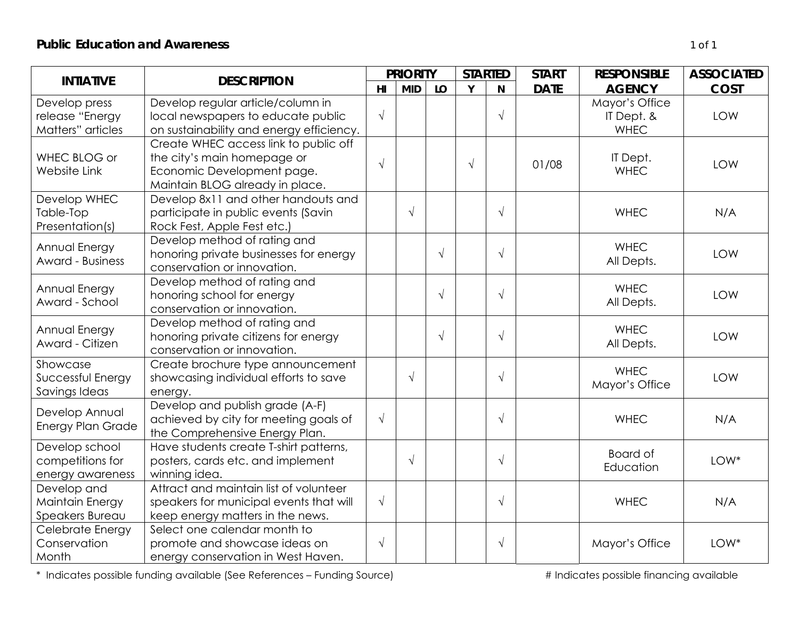| <b>INTIATIVE</b>                                       | <b>DESCRIPTION</b>                                                                                                                    | <b>PRIORITY</b> |            |           |            | <b>STARTED</b> | <b>START</b> | <b>RESPONSIBLE</b>                          | <b>ASSOCIATED</b> |
|--------------------------------------------------------|---------------------------------------------------------------------------------------------------------------------------------------|-----------------|------------|-----------|------------|----------------|--------------|---------------------------------------------|-------------------|
|                                                        |                                                                                                                                       | H <sub>II</sub> | <b>MID</b> | LO        | Y          | N              | <b>DATE</b>  | <b>AGENCY</b>                               | <b>COST</b>       |
| Develop press<br>release "Energy<br>Matters" articles  | Develop regular article/column in<br>local newspapers to educate public<br>on sustainability and energy efficiency.                   | $\sqrt{ }$      |            |           |            | $\sqrt{ }$     |              | Mayor's Office<br>IT Dept. &<br><b>WHEC</b> | LOW               |
| WHEC BLOG or<br>Website Link                           | Create WHEC access link to public off<br>the city's main homepage or<br>Economic Development page.<br>Maintain BLOG already in place. | $\sqrt{ }$      |            |           | $\sqrt{ }$ |                | 01/08        | IT Dept.<br><b>WHEC</b>                     | <b>LOW</b>        |
| Develop WHEC<br>Table-Top<br>Presentation(s)           | Develop 8x11 and other handouts and<br>participate in public events (Savin<br>Rock Fest, Apple Fest etc.)                             |                 | $\sqrt{}$  |           |            | $\sqrt{ }$     |              | <b>WHEC</b>                                 | N/A               |
| Annual Energy<br><b>Award - Business</b>               | Develop method of rating and<br>honoring private businesses for energy<br>conservation or innovation.                                 |                 |            | $\sqrt{}$ |            | $\sqrt{ }$     |              | <b>WHEC</b><br>All Depts.                   | LOW               |
| Annual Energy<br>Award - School                        | Develop method of rating and<br>honoring school for energy<br>conservation or innovation.                                             |                 |            | $\sqrt{}$ |            | $\sqrt{ }$     |              | <b>WHEC</b><br>All Depts.                   | <b>LOW</b>        |
| Annual Energy<br>Award - Citizen                       | Develop method of rating and<br>honoring private citizens for energy<br>conservation or innovation.                                   |                 |            | $\sqrt{}$ |            | $\sqrt{ }$     |              | <b>WHEC</b><br>All Depts.                   | LOW               |
| Showcase<br>Successful Energy<br>Savings Ideas         | Create brochure type announcement<br>showcasing individual efforts to save<br>energy.                                                 |                 | $\sqrt{}$  |           |            | $\sqrt{ }$     |              | <b>WHEC</b><br>Mayor's Office               | LOW               |
| Develop Annual<br>Energy Plan Grade                    | Develop and publish grade (A-F)<br>achieved by city for meeting goals of<br>the Comprehensive Energy Plan.                            | $\sqrt{ }$      |            |           |            | $\sqrt{ }$     |              | <b>WHEC</b>                                 | N/A               |
| Develop school<br>competitions for<br>energy awareness | Have students create T-shirt patterns,<br>posters, cards etc. and implement<br>winning idea.                                          |                 | $\sqrt{}$  |           |            | $\sqrt{ }$     |              | Board of<br>Education                       | LOW*              |
| Develop and<br>Maintain Energy<br>Speakers Bureau      | Attract and maintain list of volunteer<br>speakers for municipal events that will<br>keep energy matters in the news.                 | $\sqrt{ }$      |            |           |            | $\sqrt{ }$     |              | <b>WHEC</b>                                 | N/A               |
| Celebrate Energy<br>Conservation<br>Month              | Select one calendar month to<br>promote and showcase ideas on<br>energy conservation in West Haven.                                   | $\sqrt{ }$      |            |           |            | $\sqrt{ }$     |              | Mayor's Office                              | LOW*              |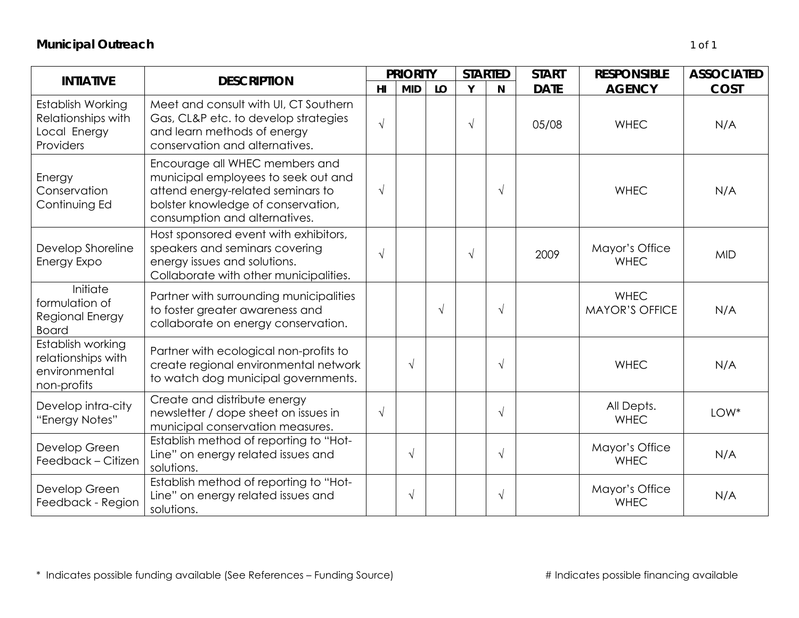| <b>INTIATIVE</b>                                                        | <b>DESCRIPTION</b>                                                                                                                                                                |            | <b>PRIORITY</b> |            | <b>STARTED</b> |            | <b>START</b> | <b>RESPONSIBLE</b>                   | <b>ASSOCIATED</b> |
|-------------------------------------------------------------------------|-----------------------------------------------------------------------------------------------------------------------------------------------------------------------------------|------------|-----------------|------------|----------------|------------|--------------|--------------------------------------|-------------------|
|                                                                         |                                                                                                                                                                                   | H1         | <b>MID</b>      | LO         | Y              | N          | <b>DATE</b>  | <b>AGENCY</b>                        | <b>COST</b>       |
| Establish Working<br>Relationships with<br>Local Energy<br>Providers    | Meet and consult with UI, CT Southern<br>Gas, CL&P etc. to develop strategies<br>and learn methods of energy<br>conservation and alternatives.                                    | $\sqrt{ }$ |                 |            | $\sqrt{}$      |            | 05/08        | <b>WHEC</b>                          | N/A               |
| Energy<br>Conservation<br>Continuing Ed                                 | Encourage all WHEC members and<br>municipal employees to seek out and<br>attend energy-related seminars to<br>bolster knowledge of conservation,<br>consumption and alternatives. | $\sqrt{ }$ |                 |            |                | $\sqrt{ }$ |              | <b>WHEC</b>                          | N/A               |
| Develop Shoreline<br>Energy Expo                                        | Host sponsored event with exhibitors,<br>speakers and seminars covering<br>energy issues and solutions.<br>Collaborate with other municipalities.                                 | $\sqrt{ }$ |                 |            | $\sqrt{ }$     |            | 2009         | Mayor's Office<br><b>WHEC</b>        | <b>MID</b>        |
| Initiate<br>formulation of<br>Regional Energy<br><b>Board</b>           | Partner with surrounding municipalities<br>to foster greater awareness and<br>collaborate on energy conservation.                                                                 |            |                 | $\sqrt{ }$ |                | $\sqrt{ }$ |              | <b>WHEC</b><br><b>MAYOR'S OFFICE</b> | N/A               |
| Establish working<br>relationships with<br>environmental<br>non-profits | Partner with ecological non-profits to<br>create regional environmental network<br>to watch dog municipal governments.                                                            |            | $\sqrt{}$       |            |                | $\sqrt{ }$ |              | <b>WHEC</b>                          | N/A               |
| Develop intra-city<br>"Energy Notes"                                    | Create and distribute energy<br>newsletter / dope sheet on issues in<br>municipal conservation measures.                                                                          | $\sqrt{}$  |                 |            |                | $\sqrt{ }$ |              | All Depts.<br><b>WHEC</b>            | LOW*              |
| Develop Green<br>Feedback - Citizen                                     | Establish method of reporting to "Hot-<br>Line" on energy related issues and<br>solutions.                                                                                        |            | $\sqrt{}$       |            |                | $\sqrt{ }$ |              | Mayor's Office<br><b>WHEC</b>        | N/A               |
| Develop Green<br>Feedback - Region                                      | Establish method of reporting to "Hot-<br>Line" on energy related issues and<br>solutions.                                                                                        |            | $\sqrt{}$       |            |                | $\sqrt{}$  |              | Mayor's Office<br><b>WHEC</b>        | N/A               |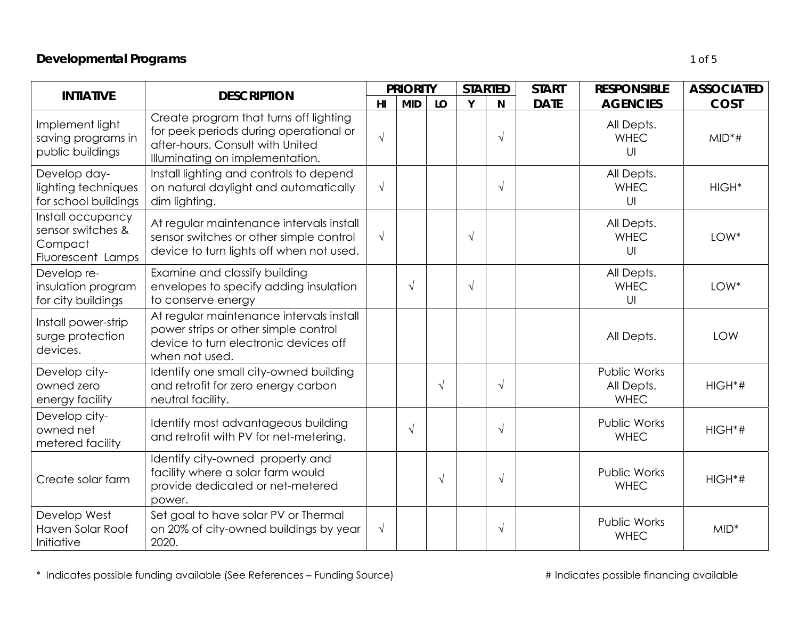# *Developmental Programs 1 of 5*

| <b>INTIATIVE</b>                                                       | <b>DESCRIPTION</b>                                                                                                                                      | <b>PRIORITY</b> |            | <b>STARTED</b> |            | <b>START</b> | <b>RESPONSIBLE</b> | <b>ASSOCIATED</b>                         |                   |
|------------------------------------------------------------------------|---------------------------------------------------------------------------------------------------------------------------------------------------------|-----------------|------------|----------------|------------|--------------|--------------------|-------------------------------------------|-------------------|
|                                                                        |                                                                                                                                                         | H <sub>l</sub>  | <b>MID</b> | LO             | Y          | <b>N</b>     | <b>DATE</b>        | <b>AGENCIES</b>                           | <b>COST</b>       |
| Implement light<br>saving programs in<br>public buildings              | Create program that turns off lighting<br>for peek periods during operational or<br>after-hours. Consult with United<br>Illuminating on implementation. | $\sqrt{ }$      |            |                |            | $\sqrt{}$    |                    | All Depts.<br><b>WHEC</b><br>U            | $MID*#$           |
| Develop day-<br>lighting techniques<br>for school buildings            | Install lighting and controls to depend<br>on natural daylight and automatically<br>dim lighting.                                                       | $\sqrt{ }$      |            |                |            | $\sqrt{}$    |                    | All Depts.<br><b>WHEC</b><br>U            | HIGH <sup>*</sup> |
| Install occupancy<br>sensor switches &<br>Compact<br>Fluorescent Lamps | At regular maintenance intervals install<br>sensor switches or other simple control<br>device to turn lights off when not used.                         | $\sqrt{ }$      |            |                | $\sqrt{}$  |              |                    | All Depts.<br><b>WHEC</b><br>U            | LOW*              |
| Develop re-<br>insulation program<br>for city buildings                | Examine and classify building<br>envelopes to specify adding insulation<br>to conserve energy                                                           |                 | $\sqrt{ }$ |                | $\sqrt{ }$ |              |                    | All Depts.<br><b>WHEC</b><br>U            | LOW*              |
| Install power-strip<br>surge protection<br>devices.                    | At regular maintenance intervals install<br>power strips or other simple control<br>device to turn electronic devices off<br>when not used.             |                 |            |                |            |              |                    | All Depts.                                | LOW               |
| Develop city-<br>owned zero<br>energy facility                         | Identify one small city-owned building<br>and retrofit for zero energy carbon<br>neutral facility.                                                      |                 |            | $\sqrt{ }$     |            | $\sqrt{}$    |                    | Public Works<br>All Depts.<br><b>WHEC</b> | $HIGH^*#$         |
| Develop city-<br>owned net<br>metered facility                         | Identify most advantageous building<br>and retrofit with PV for net-metering.                                                                           |                 | $\sqrt{ }$ |                |            | $\sqrt{}$    |                    | Public Works<br><b>WHEC</b>               | $HIGH*#$          |
| Create solar farm                                                      | Identify city-owned property and<br>facility where a solar farm would<br>provide dedicated or net-metered<br>power.                                     |                 |            | $\sqrt{ }$     |            | $\sqrt{}$    |                    | <b>Public Works</b><br><b>WHEC</b>        | $HIGH*#$          |
| Develop West<br>Haven Solar Roof<br>Initiative                         | Set goal to have solar PV or Thermal<br>on 20% of city-owned buildings by year<br>2020.                                                                 | $\sqrt{ }$      |            |                |            | $\sqrt{}$    |                    | <b>Public Works</b><br><b>WHEC</b>        | $MID*$            |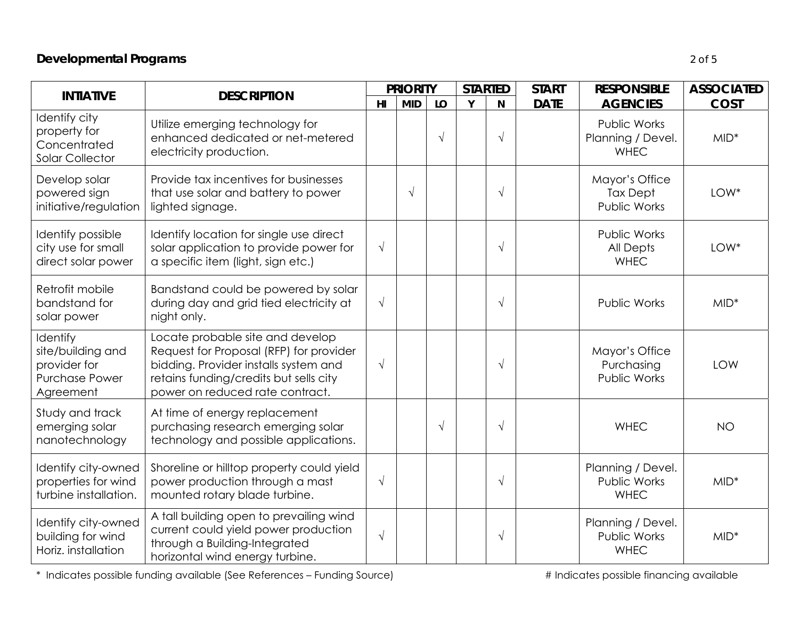# *Developmental Programs 2 of 5*

| <b>INTIATIVE</b>                                                                    | <b>DESCRIPTION</b>                                                                                                                                                                                |                | <b>PRIORITY</b> |            | <b>STARTED</b> |            | <b>START</b> | <b>RESPONSIBLE</b>                                     | <b>ASSOCIATED</b> |
|-------------------------------------------------------------------------------------|---------------------------------------------------------------------------------------------------------------------------------------------------------------------------------------------------|----------------|-----------------|------------|----------------|------------|--------------|--------------------------------------------------------|-------------------|
|                                                                                     |                                                                                                                                                                                                   | H <sub>l</sub> | <b>MID</b>      | LO         | Y              | N          | <b>DATE</b>  | <b>AGENCIES</b>                                        | <b>COST</b>       |
| Identify city<br>property for<br>Concentrated<br><b>Solar Collector</b>             | Utilize emerging technology for<br>enhanced dedicated or net-metered<br>electricity production.                                                                                                   |                |                 | $\sqrt{ }$ |                | $\sqrt{ }$ |              | Public Works<br>Planning / Devel.<br><b>WHEC</b>       | $MID^*$           |
| Develop solar<br>powered sign<br>initiative/regulation                              | Provide tax incentives for businesses<br>that use solar and battery to power<br>lighted signage.                                                                                                  |                | $\sqrt{ }$      |            |                | $\sqrt{ }$ |              | Mayor's Office<br><b>Tax Dept</b><br>Public Works      | LOW*              |
| Identify possible<br>city use for small<br>direct solar power                       | Identify location for single use direct<br>solar application to provide power for<br>a specific item (light, sign etc.)                                                                           | $\sqrt{ }$     |                 |            |                | $\sqrt{ }$ |              | <b>Public Works</b><br><b>All Depts</b><br><b>WHEC</b> | LOW*              |
| Retrofit mobile<br>bandstand for<br>solar power                                     | Bandstand could be powered by solar<br>during day and grid tied electricity at<br>night only.                                                                                                     | $\sqrt{ }$     |                 |            |                | $\sqrt{ }$ |              | <b>Public Works</b>                                    | $MID*$            |
| Identify<br>site/building and<br>provider for<br><b>Purchase Power</b><br>Agreement | Locate probable site and develop<br>Request for Proposal (RFP) for provider<br>bidding. Provider installs system and<br>retains funding/credits but sells city<br>power on reduced rate contract. | $\sqrt{ }$     |                 |            |                | $\sqrt{ }$ |              | Mayor's Office<br>Purchasing<br>Public Works           | LOW               |
| Study and track<br>emerging solar<br>nanotechnology                                 | At time of energy replacement<br>purchasing research emerging solar<br>technology and possible applications.                                                                                      |                |                 | $\sqrt{ }$ |                | $\sqrt{ }$ |              | <b>WHEC</b>                                            | <b>NO</b>         |
| Identify city-owned<br>properties for wind<br>turbine installation.                 | Shoreline or hilltop property could yield<br>power production through a mast<br>mounted rotary blade turbine.                                                                                     | $\sqrt{ }$     |                 |            |                | $\sqrt{ }$ |              | Planning / Devel.<br>Public Works<br><b>WHEC</b>       | $MID*$            |
| Identify city-owned<br>building for wind<br>Horiz, installation                     | A tall building open to prevailing wind<br>current could yield power production<br>through a Building-Integrated<br>horizontal wind energy turbine.                                               | $\sqrt{ }$     |                 |            |                | $\sqrt{ }$ |              | Planning / Devel.<br>Public Works<br><b>WHEC</b>       | $MID*$            |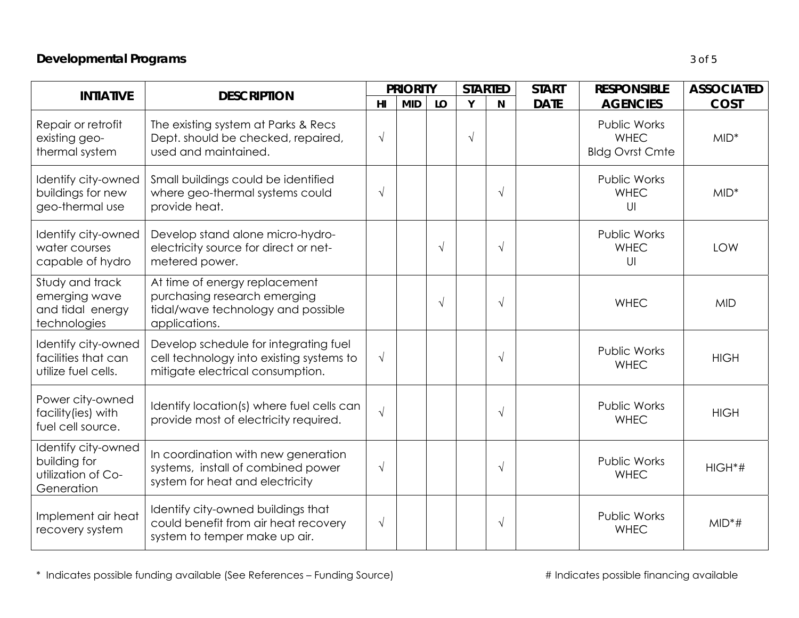# *Developmental Programs 3 of 5*

| <b>INTIATIVE</b>                                                        | <b>DESCRIPTION</b>                                                                                                    |                | <b>PRIORITY</b> |            | <b>STARTED</b> |            | <b>START</b> | <b>RESPONSIBLE</b>                                           | <b>ASSOCIATED</b> |
|-------------------------------------------------------------------------|-----------------------------------------------------------------------------------------------------------------------|----------------|-----------------|------------|----------------|------------|--------------|--------------------------------------------------------------|-------------------|
|                                                                         |                                                                                                                       | H <sub>l</sub> | <b>MID</b>      | LO         | Y              | N          | <b>DATE</b>  | <b>AGENCIES</b>                                              | <b>COST</b>       |
| Repair or retrofit<br>existing geo-<br>thermal system                   | The existing system at Parks & Recs<br>Dept. should be checked, repaired,<br>used and maintained.                     | $\sqrt{ }$     |                 |            | $\sqrt{ }$     |            |              | <b>Public Works</b><br><b>WHEC</b><br><b>Bldg Ovrst Cmte</b> | $MID^*$           |
| Identify city-owned<br>buildings for new<br>geo-thermal use             | Small buildings could be identified<br>where geo-thermal systems could<br>provide heat.                               | $\sqrt{ }$     |                 |            |                | $\sqrt{ }$ |              | <b>Public Works</b><br><b>WHEC</b><br>U                      | $MID*$            |
| Identify city-owned<br>water courses<br>capable of hydro                | Develop stand alone micro-hydro-<br>electricity source for direct or net-<br>metered power.                           |                |                 | $\sqrt{ }$ |                | $\sqrt{ }$ |              | <b>Public Works</b><br><b>WHEC</b><br>U                      | <b>LOW</b>        |
| Study and track<br>emerging wave<br>and tidal energy<br>technologies    | At time of energy replacement<br>purchasing research emerging<br>tidal/wave technology and possible<br>applications.  |                |                 | $\sqrt{ }$ |                | $\sqrt{ }$ |              | <b>WHEC</b>                                                  | <b>MID</b>        |
| Identify city-owned<br>facilities that can<br>utilize fuel cells.       | Develop schedule for integrating fuel<br>cell technology into existing systems to<br>mitigate electrical consumption. | $\sqrt{ }$     |                 |            |                | $\sqrt{ }$ |              | <b>Public Works</b><br><b>WHEC</b>                           | <b>HIGH</b>       |
| Power city-owned<br>facility (ies) with<br>fuel cell source.            | Identify location(s) where fuel cells can<br>provide most of electricity required.                                    | $\sqrt{ }$     |                 |            |                | $\sqrt{ }$ |              | Public Works<br><b>WHEC</b>                                  | <b>HIGH</b>       |
| Identify city-owned<br>building for<br>utilization of Co-<br>Generation | In coordination with new generation<br>systems, install of combined power<br>system for heat and electricity          | $\sqrt{ }$     |                 |            |                | $\sqrt{ }$ |              | Public Works<br><b>WHEC</b>                                  | $HIGH*#$          |
| Implement air heat<br>recovery system                                   | Identify city-owned buildings that<br>could benefit from air heat recovery<br>system to temper make up air.           | $\sqrt{ }$     |                 |            |                | $\sqrt{ }$ |              | Public Works<br><b>WHEC</b>                                  | $MID*#$           |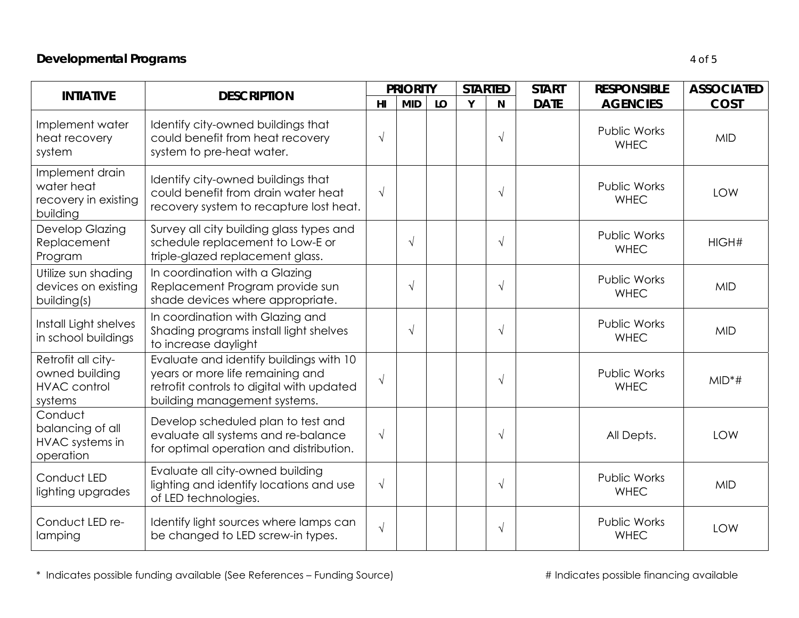### *Developmental Programs 4 of 5*

| <b>INTIATIVE</b>                                                       | <b>DESCRIPTION</b>                                                                                                                                       |                | <b>PRIORITY</b> |    | <b>STARTED</b> |            | <b>START</b> | <b>RESPONSIBLE</b>                 | <b>ASSOCIATED</b> |
|------------------------------------------------------------------------|----------------------------------------------------------------------------------------------------------------------------------------------------------|----------------|-----------------|----|----------------|------------|--------------|------------------------------------|-------------------|
|                                                                        |                                                                                                                                                          | H <sub>l</sub> | <b>MID</b>      | LO | Y              | N          | <b>DATE</b>  | <b>AGENCIES</b>                    | <b>COST</b>       |
| Implement water<br>heat recovery<br>system                             | Identify city-owned buildings that<br>could benefit from heat recovery<br>system to pre-heat water.                                                      | $\sqrt{ }$     |                 |    |                | $\sqrt{ }$ |              | Public Works<br><b>WHEC</b>        | <b>MID</b>        |
| Implement drain<br>water heat<br>recovery in existing<br>building      | Identify city-owned buildings that<br>could benefit from drain water heat<br>recovery system to recapture lost heat.                                     | $\sqrt{ }$     |                 |    |                | $\sqrt{ }$ |              | Public Works<br><b>WHEC</b>        | <b>LOW</b>        |
| Develop Glazing<br>Replacement<br>Program                              | Survey all city building glass types and<br>schedule replacement to Low-E or<br>triple-glazed replacement glass.                                         |                | $\sqrt{ }$      |    |                | $\sqrt{ }$ |              | <b>Public Works</b><br><b>WHEC</b> | HIGH#             |
| Utilize sun shading<br>devices on existing<br>building(s)              | In coordination with a Glazing<br>Replacement Program provide sun<br>shade devices where appropriate.                                                    |                | $\sqrt{ }$      |    |                | $\sqrt{ }$ |              | Public Works<br><b>WHEC</b>        | <b>MID</b>        |
| Install Light shelves<br>in school buildings                           | In coordination with Glazing and<br>Shading programs install light shelves<br>to increase daylight                                                       |                | $\sqrt{ }$      |    |                | $\sqrt{ }$ |              | Public Works<br><b>WHEC</b>        | <b>MID</b>        |
| Retrofit all city-<br>owned building<br><b>HVAC</b> control<br>systems | Evaluate and identify buildings with 10<br>years or more life remaining and<br>retrofit controls to digital with updated<br>building management systems. | $\sqrt{ }$     |                 |    |                | $\sqrt{ }$ |              | Public Works<br><b>WHEC</b>        | $MID*#$           |
| Conduct<br>balancing of all<br>HVAC systems in<br>operation            | Develop scheduled plan to test and<br>evaluate all systems and re-balance<br>for optimal operation and distribution.                                     | $\sqrt{ }$     |                 |    |                | $\sqrt{ }$ |              | All Depts.                         | <b>LOW</b>        |
| Conduct LED                                                            | Evaluate all city-owned building<br>lighting and identify locations and use                                                                              | $\sqrt{}$      |                 |    |                | $\sqrt{ }$ |              | Public Works<br>1111E              | <b>MID</b>        |

Cond lighting upgrades lighting and identify locations and use of LED technologies. <sup>√</sup> Public Works WHEC MID Conduct LED re-Conduct LED re- | Identify light sources where lamps can  $\begin{array}{c|c} \begin{array}{c} \searrow \end{array} & \begin{array}{c} \searrow \end{array} & \begin{array}{c} \searrow \end{array} & \begin{array}{c} \swarrow \end{array} & \begin{array}{c} \searrow \end{array} & \begin{array}{c} \swarrow \end{array} & \begin{array}{c} \swarrow \end{array} & \begin{array}{c} \swarrow \end{array} & \begin{array}{c} \swarrow \end{array} & \begin{array}{c} \swarrow$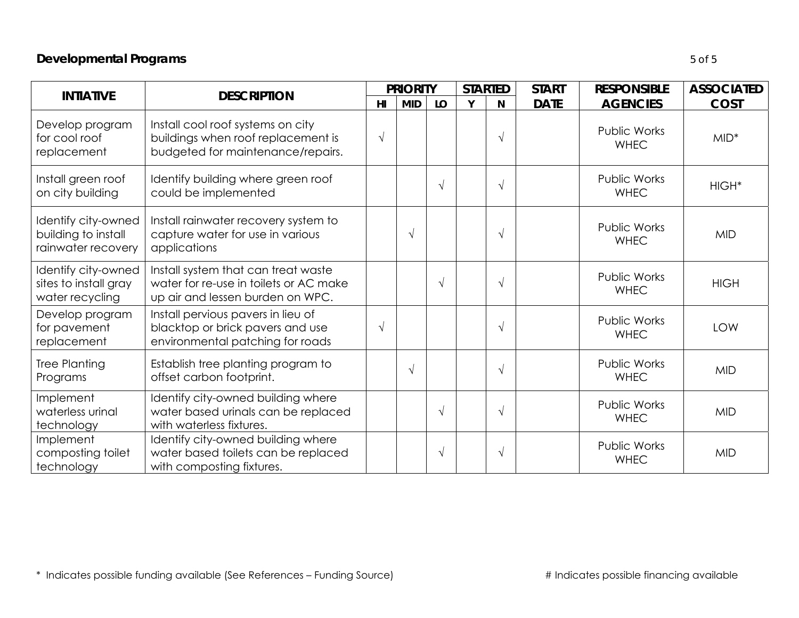# *Developmental Programs 5 of 5*

| <b>INTIATIVE</b>                                                 | <b>DESCRIPTION</b>                                                                                                |            | <b>PRIORITY</b> |            | <b>STARTED</b> |            | <b>START</b> | <b>RESPONSIBLE</b>                 | <b>ASSOCIATED</b> |
|------------------------------------------------------------------|-------------------------------------------------------------------------------------------------------------------|------------|-----------------|------------|----------------|------------|--------------|------------------------------------|-------------------|
|                                                                  |                                                                                                                   | HI         | <b>MID</b>      | LO         | Y              | N          | <b>DATE</b>  | <b>AGENCIES</b>                    | <b>COST</b>       |
| Develop program<br>for cool roof<br>replacement                  | Install cool roof systems on city<br>buildings when roof replacement is<br>budgeted for maintenance/repairs.      | $\sqrt{ }$ |                 |            |                | $\sqrt{ }$ |              | Public Works<br><b>WHEC</b>        | $MID^*$           |
| Install green roof<br>on city building                           | Identify building where green roof<br>could be implemented                                                        |            |                 | $\sqrt{ }$ |                | $\sqrt{ }$ |              | Public Works<br><b>WHEC</b>        | $HIGH*$           |
| Identify city-owned<br>building to install<br>rainwater recovery | Install rainwater recovery system to<br>capture water for use in various<br>applications                          |            | $\sqrt{ }$      |            |                | $\sqrt{ }$ |              | <b>Public Works</b><br><b>WHEC</b> | <b>MID</b>        |
| Identify city-owned<br>sites to install gray<br>water recycling  | Install system that can treat waste<br>water for re-use in toilets or AC make<br>up air and lessen burden on WPC. |            |                 | $\sqrt{ }$ |                | $\sqrt{ }$ |              | Public Works<br><b>WHEC</b>        | <b>HIGH</b>       |
| Develop program<br>for pavement<br>replacement                   | Install pervious pavers in lieu of<br>blacktop or brick pavers and use<br>environmental patching for roads        | $\sqrt{ }$ |                 |            |                | $\sqrt{ }$ |              | <b>Public Works</b><br><b>WHEC</b> | <b>LOW</b>        |
| Tree Planting<br>Programs                                        | Establish tree planting program to<br>offset carbon footprint.                                                    |            | $\sqrt{ }$      |            |                | $\sqrt{ }$ |              | Public Works<br><b>WHEC</b>        | <b>MID</b>        |
| Implement<br>waterless urinal<br>technology                      | Identify city-owned building where<br>water based urinals can be replaced<br>with waterless fixtures.             |            |                 | $\sqrt{ }$ |                | $\sqrt{ }$ |              | Public Works<br><b>WHEC</b>        | <b>MID</b>        |
| Implement<br>composting toilet<br>technology                     | Identify city-owned building where<br>water based toilets can be replaced<br>with composting fixtures.            |            |                 | $\sqrt{ }$ |                | $\sqrt{}$  |              | Public Works<br><b>WHEC</b>        | <b>MID</b>        |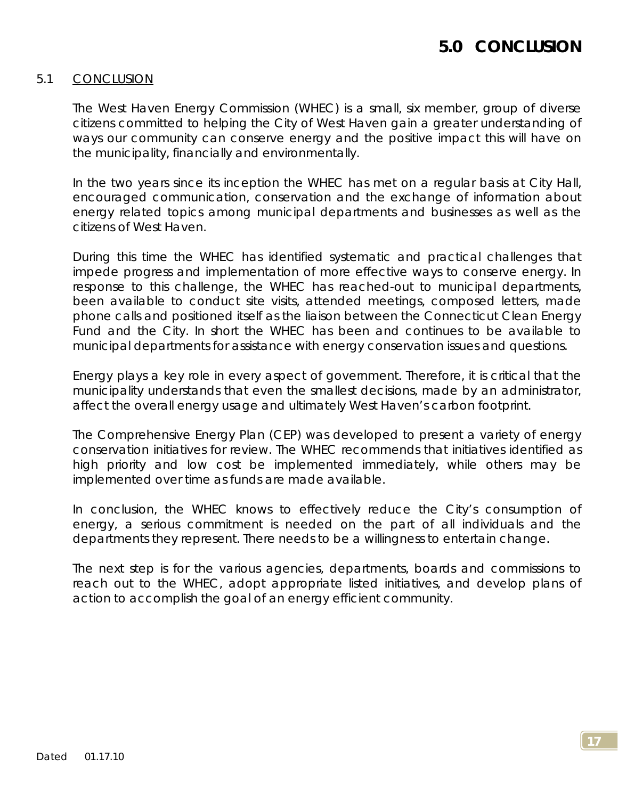# **5.0 CONCLUSION**

### 5.1 CONCLUSION

The West Haven Energy Commission (WHEC) is a small, six member, group of diverse citizens committed to helping the City of West Haven gain a greater understanding of ways our community can conserve energy and the positive impact this will have on the municipality, financially and environmentally.

In the two years since its inception the WHEC has met on a regular basis at City Hall, encouraged communication, conservation and the exchange of information about energy related topics among municipal departments and businesses as well as the citizens of West Haven.

During this time the WHEC has identified systematic and practical challenges that impede progress and implementation of more effective ways to conserve energy. In response to this challenge, the WHEC has reached-out to municipal departments, been available to conduct site visits, attended meetings, composed letters, made phone calls and positioned itself as the liaison between the Connecticut Clean Energy Fund and the City. In short the WHEC has been and continues to be available to municipal departments for assistance with energy conservation issues and questions.

Energy plays a key role in every aspect of government. Therefore, it is critical that the municipality understands that even the smallest decisions, made by an administrator, affect the overall energy usage and ultimately West Haven's carbon footprint.

The Comprehensive Energy Plan (CEP) was developed to present a variety of energy conservation initiatives for review. The WHEC recommends that initiatives identified as high priority and low cost be implemented immediately, while others may be implemented over time as funds are made available.

In conclusion, the WHEC knows to effectively reduce the City's consumption of energy, a serious commitment is needed on the part of all individuals and the departments they represent. There needs to be a willingness to entertain change.

The next step is for the various agencies, departments, boards and commissions to reach out to the WHEC, adopt appropriate listed initiatives, and develop plans of action to accomplish the goal of an energy efficient community.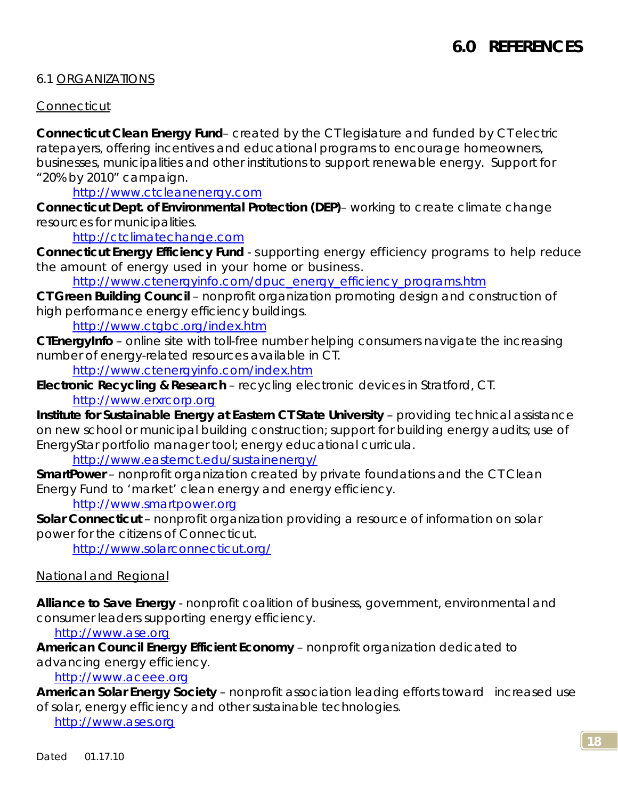### 6.1 ORGANIZATIONS

### *Connecticut*

**Connecticut Clean Energy Fund**– created by the CT legislature and funded by CT electric ratepayers, offering incentives and educational programs to encourage homeowners, businesses, municipalities and other institutions to support renewable energy. Support for "20% by 2010" campaign.

<http://www.ctcleanenergy.com>

**Connecticut Dept. of Environmental Protection (DEP)**– working to create climate change resources for municipalities.

<http://ctclimatechange.com>

**Connecticut Energy Efficiency Fund** - supporting energy efficiency programs to help reduce the amount of energy used in your home or business.

[http://www.ctenergyinfo.com/dpuc\\_energy\\_efficiency\\_programs.htm](http://www.ctenergyinfo.com/dpuc_energy_efficiency_programs.htm)

**CT Green Building Council** – nonprofit organization promoting design and construction of high performance energy efficiency buildings.

<http://www.ctgbc.org/index.htm>

**CTEnergyInfo** – online site with toll-free number helping consumers navigate the increasing number of energy-related resources available in CT.

<http://www.ctenergyinfo.com/index.htm>

**Electronic Recycling & Research** – recycling electronic devices in Stratford, CT. <http://www.erxrcorp.org>

**Institute for Sustainable Energy at Eastern CT State University** – providing technical assistance on new school or municipal building construction; support for building energy audits; use of EnergyStar portfolio manager tool; energy educational curricula.

<http://www.easternct.edu/sustainenergy/>

**SmartPower** – nonprofit organization created by private foundations and the CT Clean Energy Fund to 'market' clean energy and energy efficiency.

<http://www.smartpower.org>

**Solar Connecticut** – nonprofit organization providing a resource of information on solar power for the citizens of Connecticut.

<http://www.solarconnecticut.org/>

#### *National and Regional*

**Alliance to Save Energy** - nonprofit coalition of business, government, environmental and consumer leaders supporting energy efficiency.

<http://www.ase.org>

**American Council Energy Efficient Economy** – nonprofit organization dedicated to advancing energy efficiency.

<http://www.aceee.org>

**American Solar Energy Society** – nonprofit association leading efforts toward increased use of solar, energy efficiency and other sustainable technologies.

<http://www.ases.org>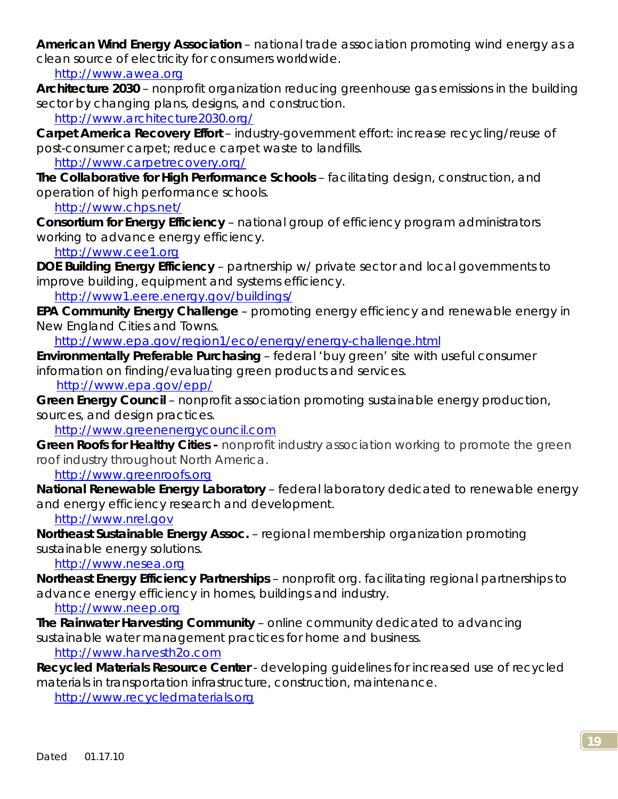**American Wind Energy Association** – national trade association promoting wind energy as a clean source of electricity for consumers worldwide.

<http://www.awea.org>

**Architecture 2030** – nonprofit organization reducing greenhouse gas emissions in the building sector by changing plans, designs, and construction.

<http://www.architecture2030.org/>

**Carpet America Recovery Effort** – industry-government effort: increase recycling/reuse of post-consumer carpet; reduce carpet waste to landfills.

<http://www.carpetrecovery.org/>

**The Collaborative for High Performance Schools** – facilitating design, construction, and operation of high performance schools.

<http://www.chps.net/>

**Consortium for Energy Efficiency** – national group of efficiency program administrators working to advance energy efficiency.

<http://www.cee1.org>

**DOE Building Energy Efficiency** – partnership w/ private sector and local governments to improve building, equipment and systems efficiency.

<http://www1.eere.energy.gov/buildings/>

**EPA Community Energy Challenge** – promoting energy efficiency and renewable energy in New England Cities and Towns.

<http://www.epa.gov/region1/eco/energy/energy-challenge.html>

**Environmentally Preferable Purchasing** – federal 'buy green' site with useful consumer information on finding/evaluating green products and services.

<http://www.epa.gov/epp/>

**Green Energy Council** – nonprofit association promoting sustainable energy production, sources, and design practices.

<http://www.greenenergycouncil.com>

**Green Roofs for Healthy Cities -** nonprofit industry association working to promote the green roof industry throughout North America.

<http://www.greenroofs.org>

**National Renewable Energy Laboratory** – federal laboratory dedicated to renewable energy and energy efficiency research and development.

<http://www.nrel.gov>

**Northeast Sustainable Energy Assoc.** – regional membership organization promoting sustainable energy solutions.

<http://www.nesea.org>

**Northeast Energy Efficiency Partnerships** – nonprofit org. facilitating regional partnerships to advance energy efficiency in homes, buildings and industry.

<http://www.neep.org>

**The Rainwater Harvesting Community** – online community dedicated to advancing sustainable water management practices for home and business.

<http://www.harvesth2o.com>

**Recycled Materials Resource Center** - developing guidelines for increased use of recycled materials in transportation infrastructure, construction, maintenance.

<http://www.recycledmaterials.org>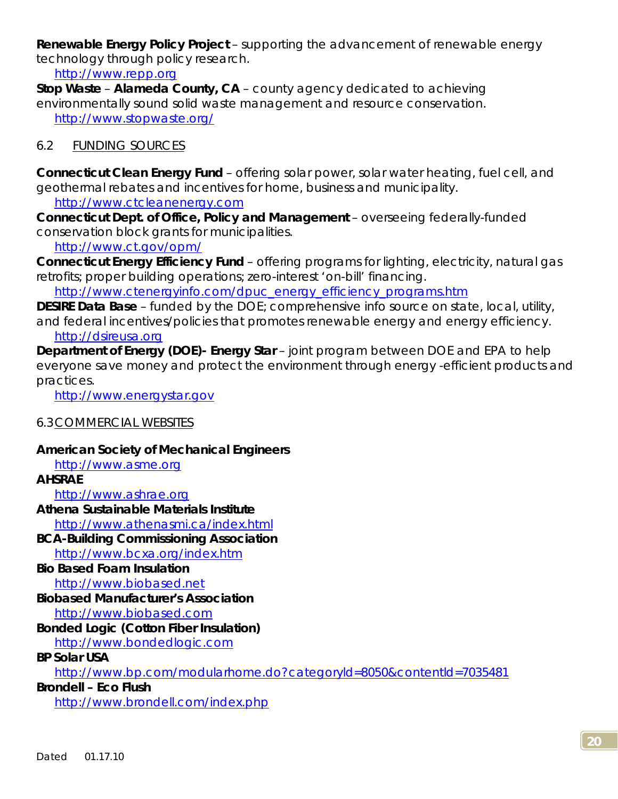**Renewable Energy Policy Project** – supporting the advancement of renewable energy technology through policy research.

<http://www.repp.org>

**Stop Waste** – **Alameda County, CA** – county agency dedicated to achieving environmentally sound solid waste management and resource conservation. <http://www.stopwaste.org/>

### 6.2 FUNDING SOURCES

**Connecticut Clean Energy Fund** – offering solar power, solar water heating, fuel cell, and geothermal rebates and incentives for home, business and municipality.

<http://www.ctcleanenergy.com>

**Connecticut Dept. of Office, Policy and Management** – overseeing federally-funded conservation block grants for municipalities.

<http://www.ct.gov/opm/>

**Connecticut Energy Efficiency Fund** – offering programs for lighting, electricity, natural gas retrofits; proper building operations; zero-interest 'on-bill' financing.

[http://www.ctenergyinfo.com/dpuc\\_energy\\_efficiency\\_programs.htm](http://www.ctenergyinfo.com/dpuc_energy_efficiency_programs.htm)

**DESIRE Data Base** – funded by the DOE; comprehensive info source on state, local, utility, and federal incentives/policies that promotes renewable energy and energy efficiency.

# <http://dsireusa.org>

**Department of Energy (DOE)- Energy Star** – joint program between DOE and EPA to help everyone save money and protect the environment through energy -efficient products and practices.

<http://www.energystar.gov>

### 6.3 COMMERCIAL WEBSITES

### **American Society of Mechanical Engineers**

<http://www.asme.org>

**AHSRAE** 

<http://www.ashrae.org>

**Athena Sustainable Materials Institute** 

<http://www.athenasmi.ca/index.html>

**BCA-Building Commissioning Association** 

<http://www.bcxa.org/index.htm>

# **Bio Based Foam Insulation**

<http://www.biobased.net>

# **Biobased Manufacturer's Association**

<http://www.biobased.com>

# **Bonded Logic (Cotton Fiber Insulation)**

<http://www.bondedlogic.com>

## **BP Solar USA**

<http://www.bp.com/modularhome.do?categoryld=8050&contentld=7035481>

### **Brondell – Eco Flush**

<http://www.brondell.com/index.php>